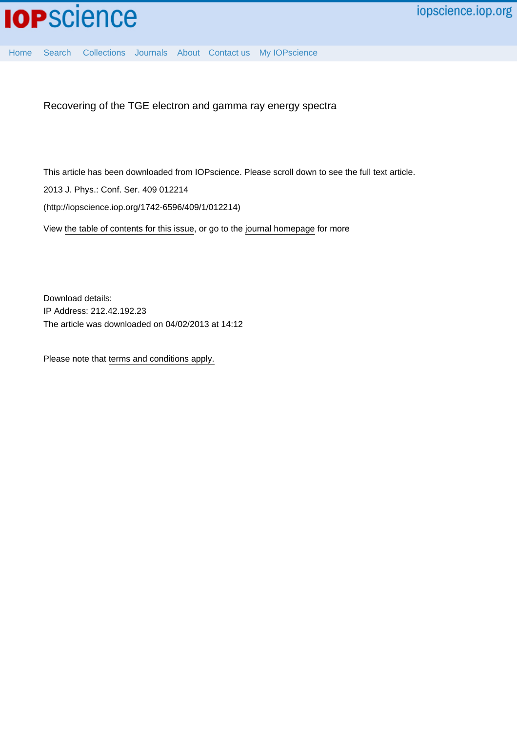

[Home](http://iopscience.iop.org/) [Search](http://iopscience.iop.org/search) [Collections](http://iopscience.iop.org/collections) [Journals](http://iopscience.iop.org/journals) [About](http://iopscience.iop.org/page/aboutioppublishing) [Contact us](http://iopscience.iop.org/contact) [My IOPscience](http://iopscience.iop.org/myiopscience)

Recovering of the TGE electron and gamma ray energy spectra

This article has been downloaded from IOPscience. Please scroll down to see the full text article.

2013 J. Phys.: Conf. Ser. 409 012214

(http://iopscience.iop.org/1742-6596/409/1/012214)

View [the table of contents for this issue](http://iopscience.iop.org/1742-6596/409/1), or go to the [journal homepage](http://iopscience.iop.org/1742-6596) for more

Download details: IP Address: 212.42.192.23 The article was downloaded on 04/02/2013 at 14:12

Please note that [terms and conditions apply.](http://iopscience.iop.org/page/terms)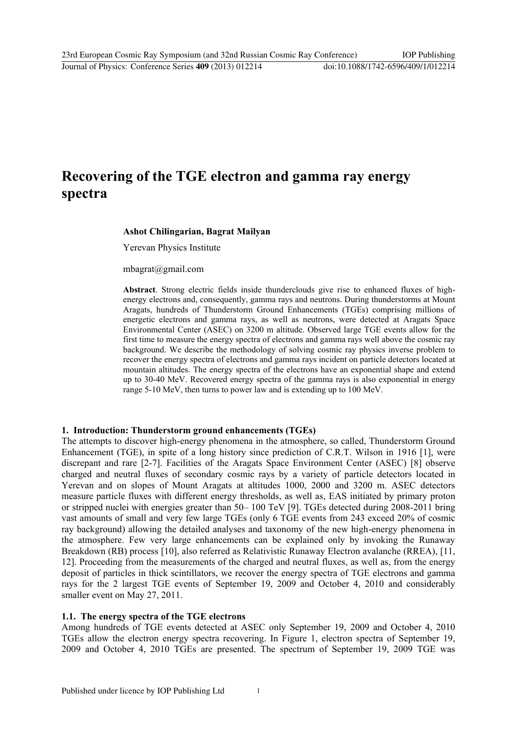# **Recovering of the TGE electron and gamma ray energy spectra**

#### **Ashot Chilingarian, Bagrat Mailyan**

Yerevan Physics Institute

mbagrat@gmail.com

**Abstract**. Strong electric fields inside thunderclouds give rise to enhanced fluxes of highenergy electrons and, consequently, gamma rays and neutrons. During thunderstorms at Mount Aragats, hundreds of Thunderstorm Ground Enhancements (TGEs) comprising millions of energetic electrons and gamma rays, as well as neutrons, were detected at Aragats Space Environmental Center (ASEC) on 3200 m altitude. Observed large TGE events allow for the first time to measure the energy spectra of electrons and gamma rays well above the cosmic ray background. We describe the methodology of solving cosmic ray physics inverse problem to recover the energy spectra of electrons and gamma rays incident on particle detectors located at mountain altitudes. The energy spectra of the electrons have an exponential shape and extend up to 30-40 MeV. Recovered energy spectra of the gamma rays is also exponential in energy range 5-10 MeV, then turns to power law and is extending up to 100 MeV.

#### **1. Introduction: Thunderstorm ground enhancements (TGEs)**

The attempts to discover high-energy phenomena in the atmosphere, so called, Thunderstorm Ground Enhancement (TGE), in spite of a long history since prediction of C.R.T. Wilson in 1916 [1], were discrepant and rare [2-7]. Facilities of the Aragats Space Environment Center (ASEC) [8] observe charged and neutral fluxes of secondary cosmic rays by a variety of particle detectors located in Yerevan and on slopes of Mount Aragats at altitudes 1000, 2000 and 3200 m. ASEC detectors measure particle fluxes with different energy thresholds, as well as, EAS initiated by primary proton or stripped nuclei with energies greater than 50– 100 TeV [9]. TGEs detected during 2008-2011 bring vast amounts of small and very few large TGEs (only 6 TGE events from 243 exceed 20% of cosmic ray background) allowing the detailed analyses and taxonomy of the new high-energy phenomena in the atmosphere. Few very large enhancements can be explained only by invoking the Runaway Breakdown (RB) process [10], also referred as Relativistic Runaway Electron avalanche (RREA), [11, 12]. Proceeding from the measurements of the charged and neutral fluxes, as well as, from the energy deposit of particles in thick scintillators, we recover the energy spectra of TGE electrons and gamma rays for the 2 largest TGE events of September 19, 2009 and October 4, 2010 and considerably smaller event on May 27, 2011.

#### **1.1. The energy spectra of the TGE electrons**

Among hundreds of TGE events detected at ASEC only September 19, 2009 and October 4, 2010 TGEs allow the electron energy spectra recovering. In Figure 1, electron spectra of September 19, 2009 and October 4, 2010 TGEs are presented. The spectrum of September 19, 2009 TGE was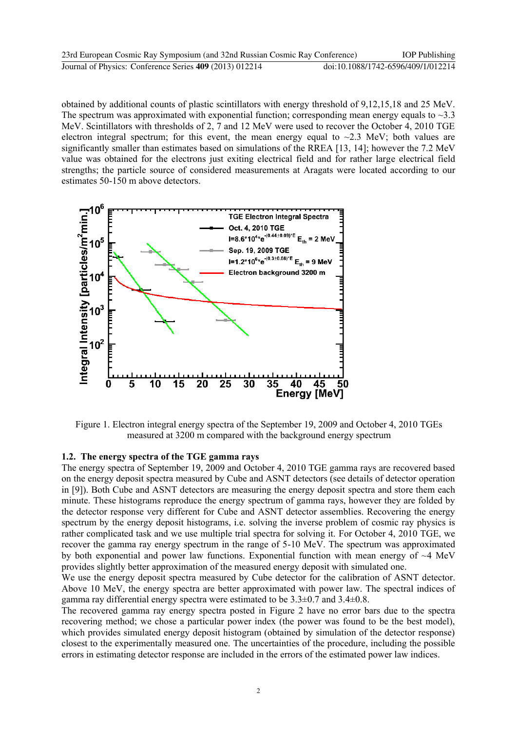| 23rd European Cosmic Ray Symposium (and 32nd Russian Cosmic Ray Conference) | <b>IOP</b> Publishing              |
|-----------------------------------------------------------------------------|------------------------------------|
| Journal of Physics: Conference Series 409 (2013) 012214                     | doi:10.1088/1742-6596/409/1/012214 |

obtained by additional counts of plastic scintillators with energy threshold of 9,12,15,18 and 25 MeV. The spectrum was approximated with exponential function; corresponding mean energy equals to  $\sim$ 3.3 MeV. Scintillators with thresholds of 2, 7 and 12 MeV were used to recover the October 4, 2010 TGE electron integral spectrum; for this event, the mean energy equal to  $\sim$ 2.3 MeV; both values are significantly smaller than estimates based on simulations of the RREA [13, 14]; however the 7.2 MeV value was obtained for the electrons just exiting electrical field and for rather large electrical field strengths; the particle source of considered measurements at Aragats were located according to our estimates 50-150 m above detectors.



Figure 1. Electron integral energy spectra of the September 19, 2009 and October 4, 2010 TGEs measured at 3200 m compared with the background energy spectrum

#### **1.2. The energy spectra of the TGE gamma rays**

The energy spectra of September 19, 2009 and October 4, 2010 TGE gamma rays are recovered based on the energy deposit spectra measured by Cube and ASNT detectors (see details of detector operation in [9]). Both Cube and ASNT detectors are measuring the energy deposit spectra and store them each minute. These histograms reproduce the energy spectrum of gamma rays, however they are folded by the detector response very different for Cube and ASNT detector assemblies. Recovering the energy spectrum by the energy deposit histograms, i.e. solving the inverse problem of cosmic ray physics is rather complicated task and we use multiple trial spectra for solving it. For October 4, 2010 TGE, we recover the gamma ray energy spectrum in the range of 5-10 MeV. The spectrum was approximated by both exponential and power law functions. Exponential function with mean energy of  $\sim$ 4 MeV provides slightly better approximation of the measured energy deposit with simulated one.

We use the energy deposit spectra measured by Cube detector for the calibration of ASNT detector. Above 10 MeV, the energy spectra are better approximated with power law. The spectral indices of gamma ray differential energy spectra were estimated to be  $3.3\pm0.7$  and  $3.4\pm0.8$ .

The recovered gamma ray energy spectra posted in Figure 2 have no error bars due to the spectra recovering method; we chose a particular power index (the power was found to be the best model), which provides simulated energy deposit histogram (obtained by simulation of the detector response) closest to the experimentally measured one. The uncertainties of the procedure, including the possible errors in estimating detector response are included in the errors of the estimated power law indices.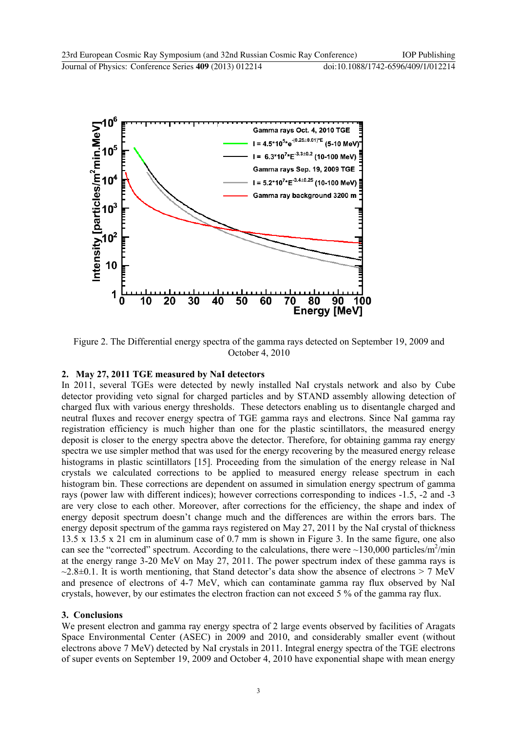

Figure 2. The Differential energy spectra of the gamma rays detected on September 19, 2009 and October 4, 2010

## **2. May 27, 2011 TGE measured by NaI detectors**

In 2011, several TGEs were detected by newly installed NaI crystals network and also by Cube detector providing veto signal for charged particles and by STAND assembly allowing detection of charged flux with various energy thresholds. These detectors enabling us to disentangle charged and neutral fluxes and recover energy spectra of TGE gamma rays and electrons. Since NaI gamma ray registration efficiency is much higher than one for the plastic scintillators, the measured energy deposit is closer to the energy spectra above the detector. Therefore, for obtaining gamma ray energy spectra we use simpler method that was used for the energy recovering by the measured energy release histograms in plastic scintillators [15]. Proceeding from the simulation of the energy release in NaI crystals we calculated corrections to be applied to measured energy release spectrum in each histogram bin. These corrections are dependent on assumed in simulation energy spectrum of gamma rays (power law with different indices); however corrections corresponding to indices -1.5, -2 and -3 are very close to each other. Moreover, after corrections for the efficiency, the shape and index of energy deposit spectrum doesn't change much and the differences are within the errors bars. The energy deposit spectrum of the gamma rays registered on May 27, 2011 by the NaI crystal of thickness 13.5 x 13.5 x 21 cm in aluminum case of 0.7 mm is shown in Figure 3. In the same figure, one also can see the "corrected" spectrum. According to the calculations, there were  $\sim$ 130,000 particles/m<sup>2</sup>/min at the energy range 3-20 MeV on May 27, 2011. The power spectrum index of these gamma rays is  $\sim$ 2.8 $\pm$ 0.1. It is worth mentioning, that Stand detector's data show the absence of electrons > 7 MeV and presence of electrons of 4-7 MeV, which can contaminate gamma ray flux observed by NaI crystals, however, by our estimates the electron fraction can not exceed 5 % of the gamma ray flux.

### **3. Conclusions**

We present electron and gamma ray energy spectra of 2 large events observed by facilities of Aragats Space Environmental Center (ASEC) in 2009 and 2010, and considerably smaller event (without electrons above 7 MeV) detected by NaI crystals in 2011. Integral energy spectra of the TGE electrons of super events on September 19, 2009 and October 4, 2010 have exponential shape with mean energy